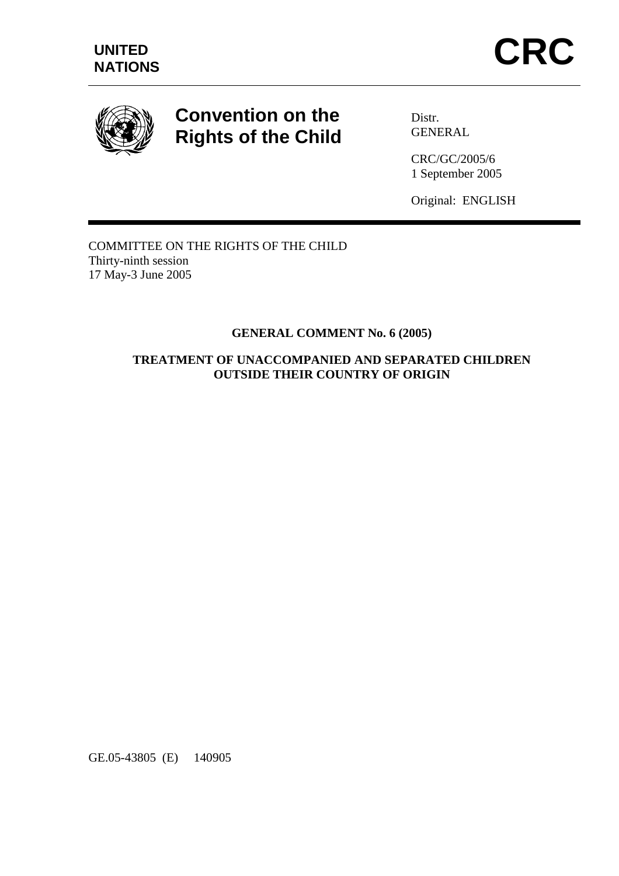



# **Convention on the Rights of the Child**

Distr. **GENERAL** 

CRC/GC/2005/6 1 September 2005

Original: ENGLISH

COMMITTEE ON THE RIGHTS OF THE CHILD Thirty-ninth session 17 May-3 June 2005

### **GENERAL COMMENT No. 6 (2005)**

**TREATMENT OF UNACCOMPANIED AND SEPARATED CHILDREN OUTSIDE THEIR COUNTRY OF ORIGIN** 

GE.05-43805 (E) 140905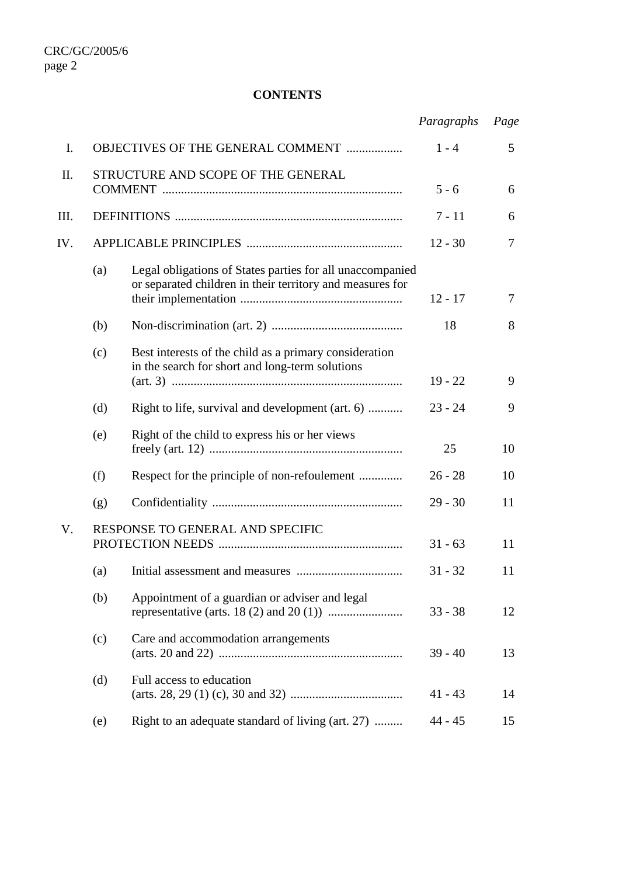### **CONTENTS**

|                |                                  |                                                                                                                        | Paragraphs | Page |
|----------------|----------------------------------|------------------------------------------------------------------------------------------------------------------------|------------|------|
| $\mathbf{I}$ . |                                  | OBJECTIVES OF THE GENERAL COMMENT                                                                                      | $1 - 4$    | 5    |
| II.            |                                  | STRUCTURE AND SCOPE OF THE GENERAL                                                                                     | $5 - 6$    | 6    |
| Ш.             |                                  |                                                                                                                        | $7 - 11$   | 6    |
| IV.            |                                  |                                                                                                                        | $12 - 30$  | 7    |
|                | (a)                              | Legal obligations of States parties for all unaccompanied<br>or separated children in their territory and measures for | $12 - 17$  | 7    |
|                | (b)                              |                                                                                                                        | 18         | 8    |
|                | (c)                              | Best interests of the child as a primary consideration<br>in the search for short and long-term solutions              | $19 - 22$  | 9    |
|                | (d)                              | Right to life, survival and development (art. 6)                                                                       | $23 - 24$  | 9    |
|                | (e)                              | Right of the child to express his or her views                                                                         | 25         | 10   |
|                | (f)                              | Respect for the principle of non-refoulement                                                                           | $26 - 28$  | 10   |
|                | (g)                              |                                                                                                                        | $29 - 30$  | 11   |
| V.             | RESPONSE TO GENERAL AND SPECIFIC |                                                                                                                        | $31 - 63$  | 11   |
|                | (a)                              |                                                                                                                        | $31 - 32$  | 11   |
|                | (b)                              | Appointment of a guardian or adviser and legal                                                                         | $33 - 38$  | 12   |
|                | (c)                              | Care and accommodation arrangements                                                                                    | $39 - 40$  | 13   |
|                | (d)                              | Full access to education                                                                                               | $41 - 43$  | 14   |
|                | (e)                              | Right to an adequate standard of living (art. 27)                                                                      | $44 - 45$  | 15   |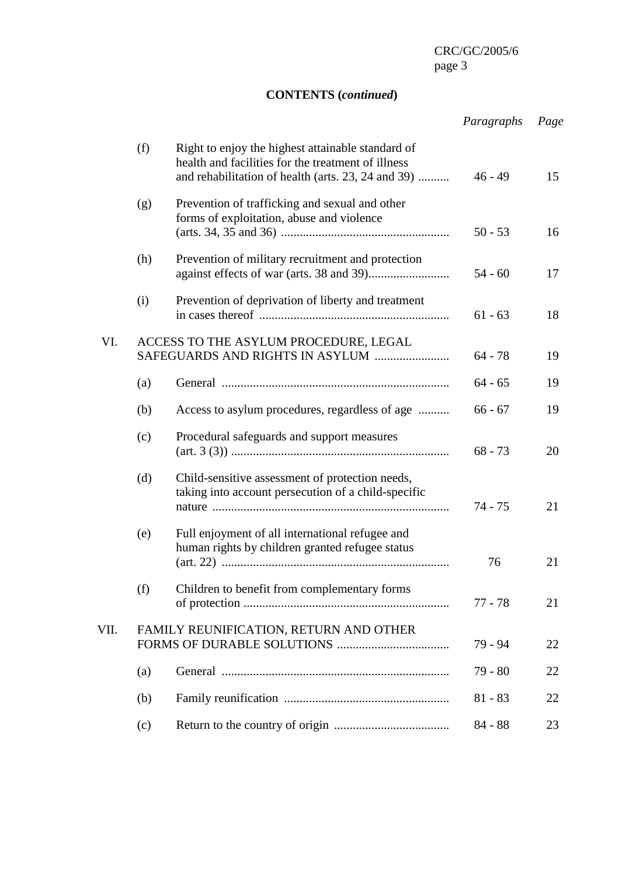## **CONTENTS (***continued***)**

|      |                                                                          |                                                                                                                                                               | Paragraphs | Page |
|------|--------------------------------------------------------------------------|---------------------------------------------------------------------------------------------------------------------------------------------------------------|------------|------|
|      | (f)                                                                      | Right to enjoy the highest attainable standard of<br>health and facilities for the treatment of illness<br>and rehabilitation of health (arts. 23, 24 and 39) | $46 - 49$  | 15   |
|      | (g)                                                                      | Prevention of trafficking and sexual and other<br>forms of exploitation, abuse and violence                                                                   | $50 - 53$  | 16   |
|      | (h)                                                                      | Prevention of military recruitment and protection                                                                                                             | $54 - 60$  | 17   |
|      | (i)                                                                      | Prevention of deprivation of liberty and treatment                                                                                                            | $61 - 63$  | 18   |
| VI.  | ACCESS TO THE ASYLUM PROCEDURE, LEGAL<br>SAFEGUARDS AND RIGHTS IN ASYLUM |                                                                                                                                                               | $64 - 78$  | 19   |
|      | (a)                                                                      |                                                                                                                                                               | $64 - 65$  | 19   |
|      | (b)                                                                      | Access to asylum procedures, regardless of age                                                                                                                | $66 - 67$  | 19   |
|      | (c)                                                                      | Procedural safeguards and support measures                                                                                                                    | $68 - 73$  | 20   |
|      | (d)                                                                      | Child-sensitive assessment of protection needs,<br>taking into account persecution of a child-specific                                                        | 74 - 75    | 21   |
|      | (e)                                                                      | Full enjoyment of all international refugee and<br>human rights by children granted refugee status                                                            | 76         | 21   |
|      | (f)                                                                      | Children to benefit from complementary forms                                                                                                                  | $77 - 78$  | 21   |
| VII. | FAMILY REUNIFICATION, RETURN AND OTHER                                   |                                                                                                                                                               | 79 - 94    | 22   |
|      | (a)                                                                      |                                                                                                                                                               | $79 - 80$  | 22   |
|      | (b)                                                                      |                                                                                                                                                               | $81 - 83$  | 22   |
|      | (c)                                                                      |                                                                                                                                                               | $84 - 88$  | 23   |
|      |                                                                          |                                                                                                                                                               |            |      |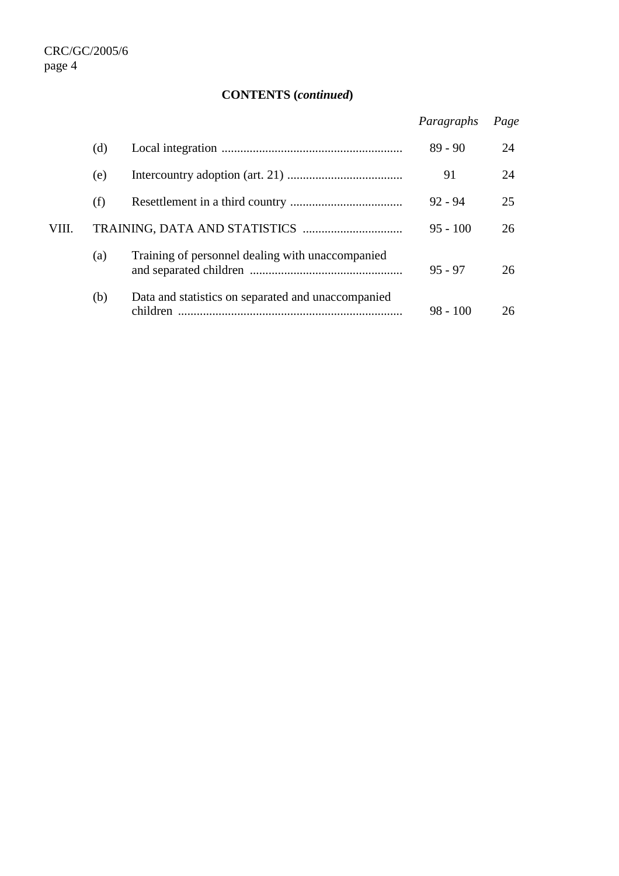### **CONTENTS (***continued***)**

|       |     |                                                                | Paragraphs | Page |
|-------|-----|----------------------------------------------------------------|------------|------|
| VIII. | (d) |                                                                | $89 - 90$  | 24   |
|       | (e) |                                                                | 91         | 24   |
|       | (f) |                                                                | $92 - 94$  | 25   |
|       |     |                                                                | $95 - 100$ | 26   |
|       | (a) | Training of personnel dealing with unaccompanied               | $95 - 97$  | 26   |
|       | (b) | Data and statistics on separated and unaccompanied<br>children | $98 - 100$ | 26   |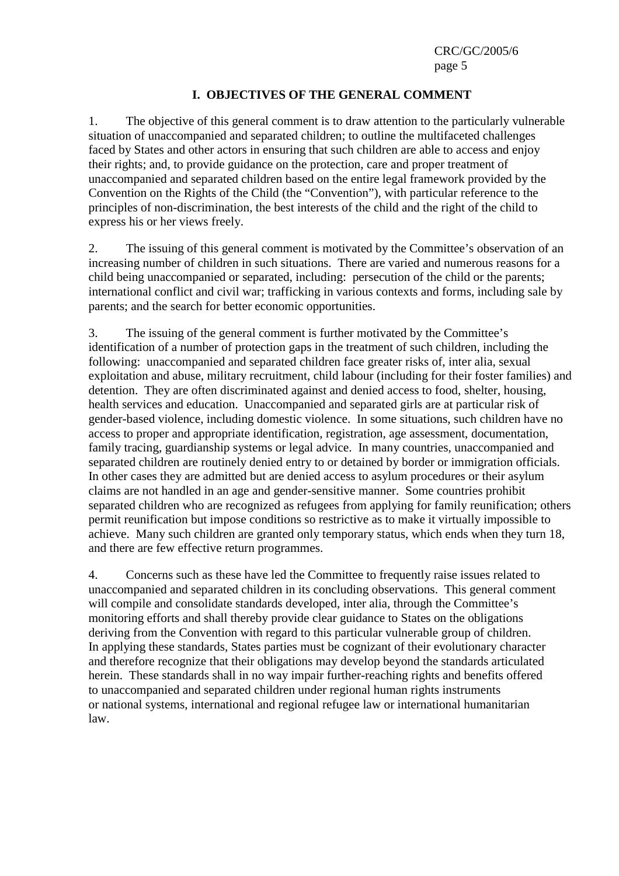#### **I. OBJECTIVES OF THE GENERAL COMMENT**

1. The objective of this general comment is to draw attention to the particularly vulnerable situation of unaccompanied and separated children; to outline the multifaceted challenges faced by States and other actors in ensuring that such children are able to access and enjoy their rights; and, to provide guidance on the protection, care and proper treatment of unaccompanied and separated children based on the entire legal framework provided by the Convention on the Rights of the Child (the "Convention"), with particular reference to the principles of non-discrimination, the best interests of the child and the right of the child to express his or her views freely.

2. The issuing of this general comment is motivated by the Committee's observation of an increasing number of children in such situations. There are varied and numerous reasons for a child being unaccompanied or separated, including: persecution of the child or the parents; international conflict and civil war; trafficking in various contexts and forms, including sale by parents; and the search for better economic opportunities.

3. The issuing of the general comment is further motivated by the Committee's identification of a number of protection gaps in the treatment of such children, including the following: unaccompanied and separated children face greater risks of, inter alia, sexual exploitation and abuse, military recruitment, child labour (including for their foster families) and detention. They are often discriminated against and denied access to food, shelter, housing, health services and education. Unaccompanied and separated girls are at particular risk of gender-based violence, including domestic violence. In some situations, such children have no access to proper and appropriate identification, registration, age assessment, documentation, family tracing, guardianship systems or legal advice. In many countries, unaccompanied and separated children are routinely denied entry to or detained by border or immigration officials. In other cases they are admitted but are denied access to asylum procedures or their asylum claims are not handled in an age and gender-sensitive manner. Some countries prohibit separated children who are recognized as refugees from applying for family reunification; others permit reunification but impose conditions so restrictive as to make it virtually impossible to achieve. Many such children are granted only temporary status, which ends when they turn 18, and there are few effective return programmes.

4. Concerns such as these have led the Committee to frequently raise issues related to unaccompanied and separated children in its concluding observations. This general comment will compile and consolidate standards developed, inter alia, through the Committee's monitoring efforts and shall thereby provide clear guidance to States on the obligations deriving from the Convention with regard to this particular vulnerable group of children. In applying these standards, States parties must be cognizant of their evolutionary character and therefore recognize that their obligations may develop beyond the standards articulated herein. These standards shall in no way impair further-reaching rights and benefits offered to unaccompanied and separated children under regional human rights instruments or national systems, international and regional refugee law or international humanitarian law.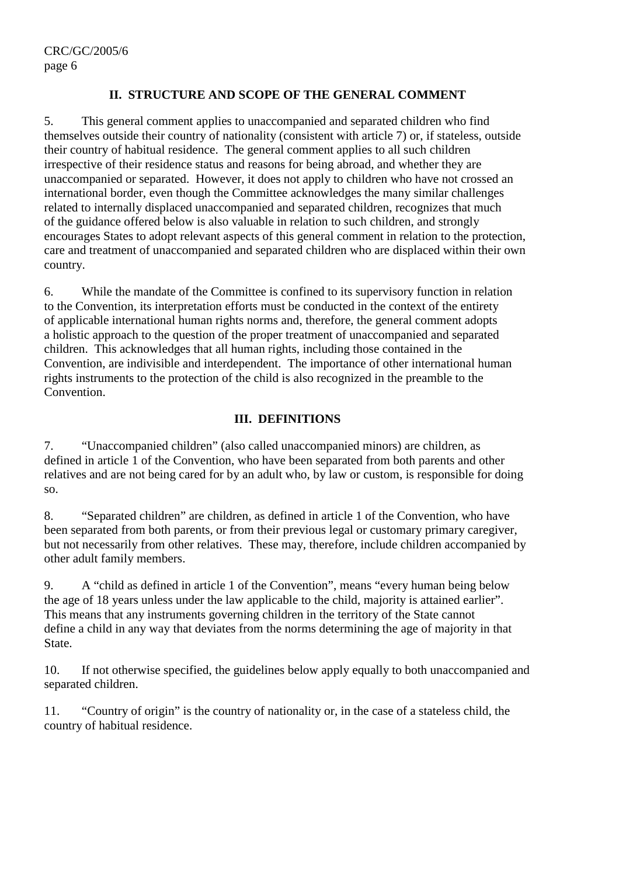### **II. STRUCTURE AND SCOPE OF THE GENERAL COMMENT**

5. This general comment applies to unaccompanied and separated children who find themselves outside their country of nationality (consistent with article 7) or, if stateless, outside their country of habitual residence. The general comment applies to all such children irrespective of their residence status and reasons for being abroad, and whether they are unaccompanied or separated. However, it does not apply to children who have not crossed an international border, even though the Committee acknowledges the many similar challenges related to internally displaced unaccompanied and separated children, recognizes that much of the guidance offered below is also valuable in relation to such children, and strongly encourages States to adopt relevant aspects of this general comment in relation to the protection, care and treatment of unaccompanied and separated children who are displaced within their own country.

6. While the mandate of the Committee is confined to its supervisory function in relation to the Convention, its interpretation efforts must be conducted in the context of the entirety of applicable international human rights norms and, therefore, the general comment adopts a holistic approach to the question of the proper treatment of unaccompanied and separated children. This acknowledges that all human rights, including those contained in the Convention, are indivisible and interdependent. The importance of other international human rights instruments to the protection of the child is also recognized in the preamble to the Convention.

#### **III. DEFINITIONS**

7. "Unaccompanied children" (also called unaccompanied minors) are children, as defined in article 1 of the Convention, who have been separated from both parents and other relatives and are not being cared for by an adult who, by law or custom, is responsible for doing so.

8. "Separated children" are children, as defined in article 1 of the Convention, who have been separated from both parents, or from their previous legal or customary primary caregiver, but not necessarily from other relatives. These may, therefore, include children accompanied by other adult family members.

9. A "child as defined in article 1 of the Convention", means "every human being below the age of 18 years unless under the law applicable to the child, majority is attained earlier". This means that any instruments governing children in the territory of the State cannot define a child in any way that deviates from the norms determining the age of majority in that State.

10. If not otherwise specified, the guidelines below apply equally to both unaccompanied and separated children.

11. "Country of origin" is the country of nationality or, in the case of a stateless child, the country of habitual residence.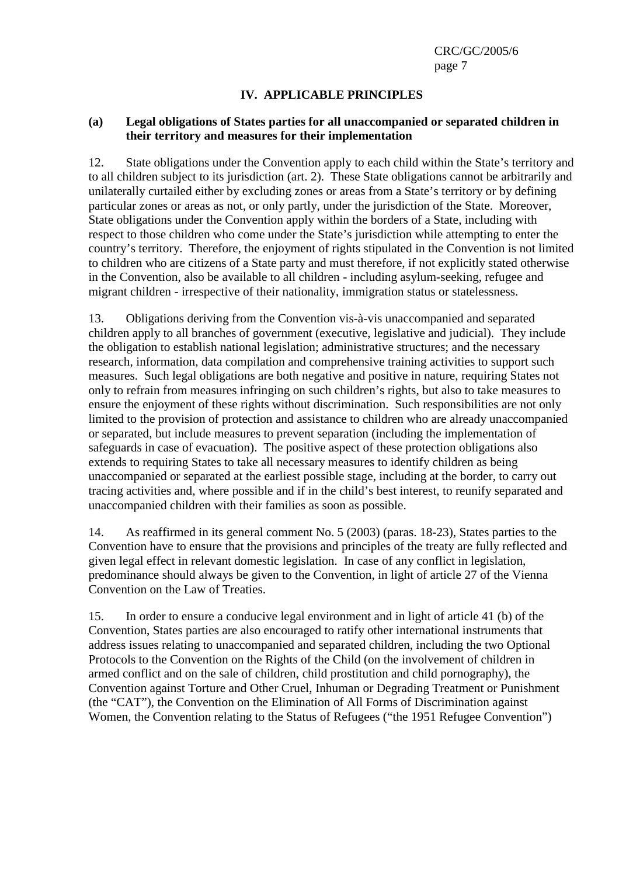#### **IV. APPLICABLE PRINCIPLES**

#### **(a) Legal obligations of States parties for all unaccompanied or separated children in their territory and measures for their implementation**

12. State obligations under the Convention apply to each child within the State's territory and to all children subject to its jurisdiction (art. 2). These State obligations cannot be arbitrarily and unilaterally curtailed either by excluding zones or areas from a State's territory or by defining particular zones or areas as not, or only partly, under the jurisdiction of the State. Moreover, State obligations under the Convention apply within the borders of a State, including with respect to those children who come under the State's jurisdiction while attempting to enter the country's territory. Therefore, the enjoyment of rights stipulated in the Convention is not limited to children who are citizens of a State party and must therefore, if not explicitly stated otherwise in the Convention, also be available to all children - including asylum-seeking, refugee and migrant children - irrespective of their nationality, immigration status or statelessness.

13. Obligations deriving from the Convention vis-à-vis unaccompanied and separated children apply to all branches of government (executive, legislative and judicial). They include the obligation to establish national legislation; administrative structures; and the necessary research, information, data compilation and comprehensive training activities to support such measures. Such legal obligations are both negative and positive in nature, requiring States not only to refrain from measures infringing on such children's rights, but also to take measures to ensure the enjoyment of these rights without discrimination. Such responsibilities are not only limited to the provision of protection and assistance to children who are already unaccompanied or separated, but include measures to prevent separation (including the implementation of safeguards in case of evacuation). The positive aspect of these protection obligations also extends to requiring States to take all necessary measures to identify children as being unaccompanied or separated at the earliest possible stage, including at the border, to carry out tracing activities and, where possible and if in the child's best interest, to reunify separated and unaccompanied children with their families as soon as possible.

14. As reaffirmed in its general comment No. 5 (2003) (paras. 18-23), States parties to the Convention have to ensure that the provisions and principles of the treaty are fully reflected and given legal effect in relevant domestic legislation. In case of any conflict in legislation, predominance should always be given to the Convention, in light of article 27 of the Vienna Convention on the Law of Treaties.

15. In order to ensure a conducive legal environment and in light of article 41 (b) of the Convention, States parties are also encouraged to ratify other international instruments that address issues relating to unaccompanied and separated children, including the two Optional Protocols to the Convention on the Rights of the Child (on the involvement of children in armed conflict and on the sale of children, child prostitution and child pornography), the Convention against Torture and Other Cruel, Inhuman or Degrading Treatment or Punishment (the "CAT"), the Convention on the Elimination of All Forms of Discrimination against Women, the Convention relating to the Status of Refugees ("the 1951 Refugee Convention")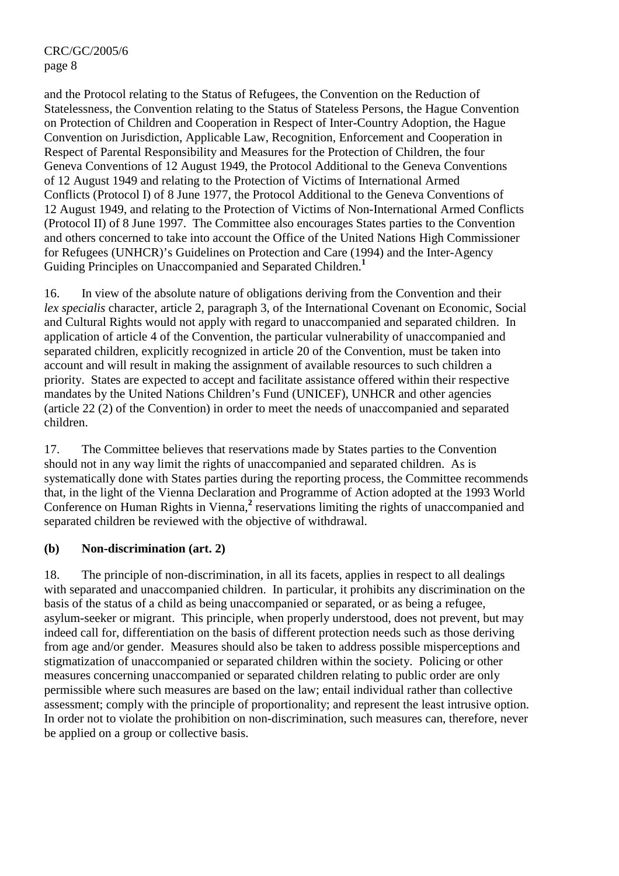and the Protocol relating to the Status of Refugees, the Convention on the Reduction of Statelessness, the Convention relating to the Status of Stateless Persons, the Hague Convention on Protection of Children and Cooperation in Respect of Inter-Country Adoption, the Hague Convention on Jurisdiction, Applicable Law, Recognition, Enforcement and Cooperation in Respect of Parental Responsibility and Measures for the Protection of Children, the four Geneva Conventions of 12 August 1949, the Protocol Additional to the Geneva Conventions of 12 August 1949 and relating to the Protection of Victims of International Armed Conflicts (Protocol I) of 8 June 1977, the Protocol Additional to the Geneva Conventions of 12 August 1949, and relating to the Protection of Victims of Non-International Armed Conflicts (Protocol II) of 8 June 1997. The Committee also encourages States parties to the Convention and others concerned to take into account the Office of the United Nations High Commissioner for Refugees (UNHCR)'s Guidelines on Protection and Care (1994) and the Inter-Agency Guiding Principles on Unaccompanied and Separated Children.**<sup>1</sup>**

16. In view of the absolute nature of obligations deriving from the Convention and their *lex specialis* character, article 2, paragraph 3, of the International Covenant on Economic, Social and Cultural Rights would not apply with regard to unaccompanied and separated children. In application of article 4 of the Convention, the particular vulnerability of unaccompanied and separated children, explicitly recognized in article 20 of the Convention, must be taken into account and will result in making the assignment of available resources to such children a priority. States are expected to accept and facilitate assistance offered within their respective mandates by the United Nations Children's Fund (UNICEF), UNHCR and other agencies (article 22 (2) of the Convention) in order to meet the needs of unaccompanied and separated children.

17. The Committee believes that reservations made by States parties to the Convention should not in any way limit the rights of unaccompanied and separated children. As is systematically done with States parties during the reporting process, the Committee recommends that, in the light of the Vienna Declaration and Programme of Action adopted at the 1993 World Conference on Human Rights in Vienna,<sup>2</sup> reservations limiting the rights of unaccompanied and separated children be reviewed with the objective of withdrawal.

### **(b) Non-discrimination (art. 2)**

18. The principle of non-discrimination, in all its facets, applies in respect to all dealings with separated and unaccompanied children. In particular, it prohibits any discrimination on the basis of the status of a child as being unaccompanied or separated, or as being a refugee, asylum-seeker or migrant. This principle, when properly understood, does not prevent, but may indeed call for, differentiation on the basis of different protection needs such as those deriving from age and/or gender. Measures should also be taken to address possible misperceptions and stigmatization of unaccompanied or separated children within the society. Policing or other measures concerning unaccompanied or separated children relating to public order are only permissible where such measures are based on the law; entail individual rather than collective assessment; comply with the principle of proportionality; and represent the least intrusive option. In order not to violate the prohibition on non-discrimination, such measures can, therefore, never be applied on a group or collective basis.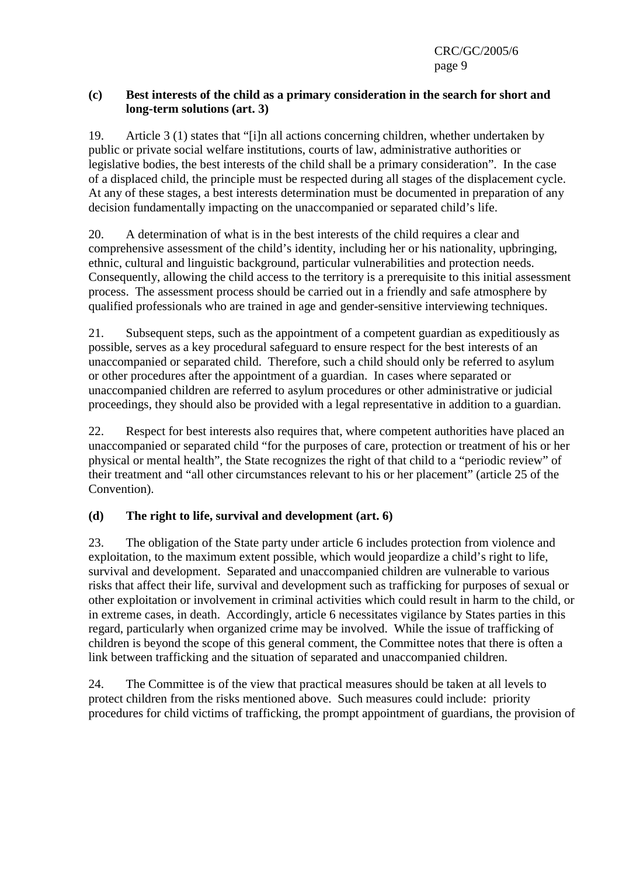### **(c) Best interests of the child as a primary consideration in the search for short and long-term solutions (art. 3)**

19. Article 3 (1) states that "[i]n all actions concerning children, whether undertaken by public or private social welfare institutions, courts of law, administrative authorities or legislative bodies, the best interests of the child shall be a primary consideration". In the case of a displaced child, the principle must be respected during all stages of the displacement cycle. At any of these stages, a best interests determination must be documented in preparation of any decision fundamentally impacting on the unaccompanied or separated child's life.

20. A determination of what is in the best interests of the child requires a clear and comprehensive assessment of the child's identity, including her or his nationality, upbringing, ethnic, cultural and linguistic background, particular vulnerabilities and protection needs. Consequently, allowing the child access to the territory is a prerequisite to this initial assessment process. The assessment process should be carried out in a friendly and safe atmosphere by qualified professionals who are trained in age and gender-sensitive interviewing techniques.

21. Subsequent steps, such as the appointment of a competent guardian as expeditiously as possible, serves as a key procedural safeguard to ensure respect for the best interests of an unaccompanied or separated child. Therefore, such a child should only be referred to asylum or other procedures after the appointment of a guardian. In cases where separated or unaccompanied children are referred to asylum procedures or other administrative or judicial proceedings, they should also be provided with a legal representative in addition to a guardian.

22. Respect for best interests also requires that, where competent authorities have placed an unaccompanied or separated child "for the purposes of care, protection or treatment of his or her physical or mental health", the State recognizes the right of that child to a "periodic review" of their treatment and "all other circumstances relevant to his or her placement" (article 25 of the Convention).

### **(d) The right to life, survival and development (art. 6)**

23. The obligation of the State party under article 6 includes protection from violence and exploitation, to the maximum extent possible, which would jeopardize a child's right to life, survival and development. Separated and unaccompanied children are vulnerable to various risks that affect their life, survival and development such as trafficking for purposes of sexual or other exploitation or involvement in criminal activities which could result in harm to the child, or in extreme cases, in death. Accordingly, article 6 necessitates vigilance by States parties in this regard, particularly when organized crime may be involved. While the issue of trafficking of children is beyond the scope of this general comment, the Committee notes that there is often a link between trafficking and the situation of separated and unaccompanied children.

24. The Committee is of the view that practical measures should be taken at all levels to protect children from the risks mentioned above. Such measures could include: priority procedures for child victims of trafficking, the prompt appointment of guardians, the provision of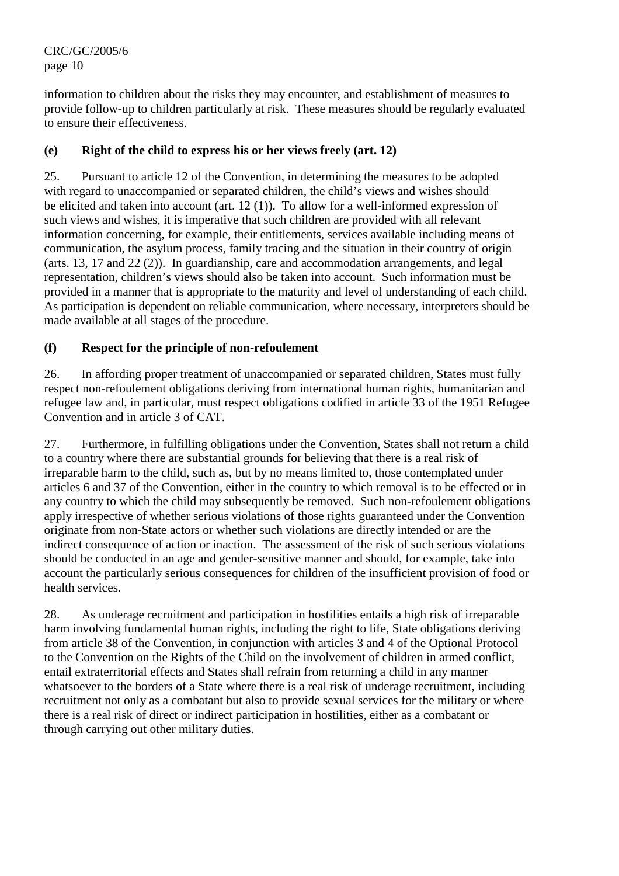information to children about the risks they may encounter, and establishment of measures to provide follow-up to children particularly at risk. These measures should be regularly evaluated to ensure their effectiveness.

### **(e) Right of the child to express his or her views freely (art. 12)**

25. Pursuant to article 12 of the Convention, in determining the measures to be adopted with regard to unaccompanied or separated children, the child's views and wishes should be elicited and taken into account (art. 12 (1)). To allow for a well-informed expression of such views and wishes, it is imperative that such children are provided with all relevant information concerning, for example, their entitlements, services available including means of communication, the asylum process, family tracing and the situation in their country of origin (arts. 13, 17 and 22 (2)). In guardianship, care and accommodation arrangements, and legal representation, children's views should also be taken into account. Such information must be provided in a manner that is appropriate to the maturity and level of understanding of each child. As participation is dependent on reliable communication, where necessary, interpreters should be made available at all stages of the procedure.

### **(f) Respect for the principle of non-refoulement**

26. In affording proper treatment of unaccompanied or separated children, States must fully respect non-refoulement obligations deriving from international human rights, humanitarian and refugee law and, in particular, must respect obligations codified in article 33 of the 1951 Refugee Convention and in article 3 of CAT.

27. Furthermore, in fulfilling obligations under the Convention, States shall not return a child to a country where there are substantial grounds for believing that there is a real risk of irreparable harm to the child, such as, but by no means limited to, those contemplated under articles 6 and 37 of the Convention, either in the country to which removal is to be effected or in any country to which the child may subsequently be removed. Such non-refoulement obligations apply irrespective of whether serious violations of those rights guaranteed under the Convention originate from non-State actors or whether such violations are directly intended or are the indirect consequence of action or inaction. The assessment of the risk of such serious violations should be conducted in an age and gender-sensitive manner and should, for example, take into account the particularly serious consequences for children of the insufficient provision of food or health services.

28. As underage recruitment and participation in hostilities entails a high risk of irreparable harm involving fundamental human rights, including the right to life, State obligations deriving from article 38 of the Convention, in conjunction with articles 3 and 4 of the Optional Protocol to the Convention on the Rights of the Child on the involvement of children in armed conflict, entail extraterritorial effects and States shall refrain from returning a child in any manner whatsoever to the borders of a State where there is a real risk of underage recruitment, including recruitment not only as a combatant but also to provide sexual services for the military or where there is a real risk of direct or indirect participation in hostilities, either as a combatant or through carrying out other military duties.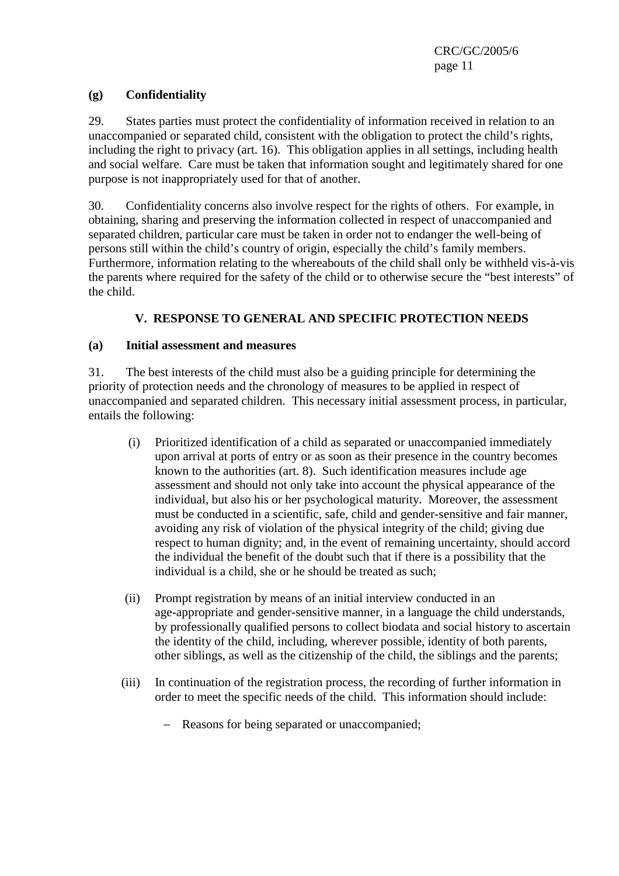### **(g) Confidentiality**

29. States parties must protect the confidentiality of information received in relation to an unaccompanied or separated child, consistent with the obligation to protect the child's rights, including the right to privacy (art. 16). This obligation applies in all settings, including health and social welfare. Care must be taken that information sought and legitimately shared for one purpose is not inappropriately used for that of another.

30. Confidentiality concerns also involve respect for the rights of others. For example, in obtaining, sharing and preserving the information collected in respect of unaccompanied and separated children, particular care must be taken in order not to endanger the well-being of persons still within the child's country of origin, especially the child's family members. Furthermore, information relating to the whereabouts of the child shall only be withheld vis-à-vis the parents where required for the safety of the child or to otherwise secure the "best interests" of the child.

### **V. RESPONSE TO GENERAL AND SPECIFIC PROTECTION NEEDS**

### **(a) Initial assessment and measures**

31. The best interests of the child must also be a guiding principle for determining the priority of protection needs and the chronology of measures to be applied in respect of unaccompanied and separated children. This necessary initial assessment process, in particular, entails the following:

- (i) Prioritized identification of a child as separated or unaccompanied immediately upon arrival at ports of entry or as soon as their presence in the country becomes known to the authorities (art. 8). Such identification measures include age assessment and should not only take into account the physical appearance of the individual, but also his or her psychological maturity. Moreover, the assessment must be conducted in a scientific, safe, child and gender-sensitive and fair manner, avoiding any risk of violation of the physical integrity of the child; giving due respect to human dignity; and, in the event of remaining uncertainty, should accord the individual the benefit of the doubt such that if there is a possibility that the individual is a child, she or he should be treated as such;
- (ii) Prompt registration by means of an initial interview conducted in an age-appropriate and gender-sensitive manner, in a language the child understands, by professionally qualified persons to collect biodata and social history to ascertain the identity of the child, including, wherever possible, identity of both parents, other siblings, as well as the citizenship of the child, the siblings and the parents;
- (iii) In continuation of the registration process, the recording of further information in order to meet the specific needs of the child. This information should include:
	- − Reasons for being separated or unaccompanied;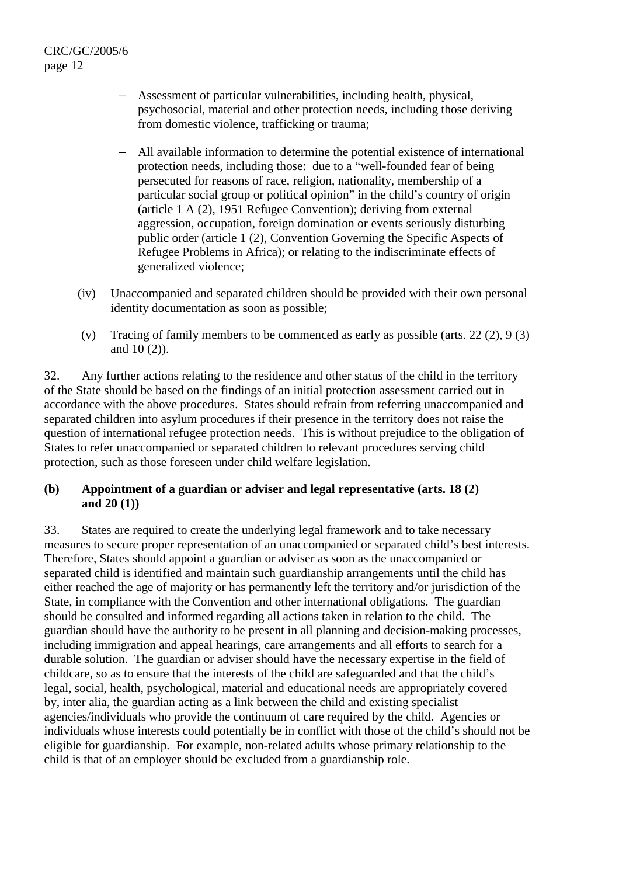- − Assessment of particular vulnerabilities, including health, physical, psychosocial, material and other protection needs, including those deriving from domestic violence, trafficking or trauma;
- − All available information to determine the potential existence of international protection needs, including those: due to a "well-founded fear of being persecuted for reasons of race, religion, nationality, membership of a particular social group or political opinion" in the child's country of origin (article 1 A (2), 1951 Refugee Convention); deriving from external aggression, occupation, foreign domination or events seriously disturbing public order (article 1 (2), Convention Governing the Specific Aspects of Refugee Problems in Africa); or relating to the indiscriminate effects of generalized violence;
- (iv) Unaccompanied and separated children should be provided with their own personal identity documentation as soon as possible;
- (v) Tracing of family members to be commenced as early as possible (arts. 22 (2), 9 (3) and 10 (2)).

32. Any further actions relating to the residence and other status of the child in the territory of the State should be based on the findings of an initial protection assessment carried out in accordance with the above procedures. States should refrain from referring unaccompanied and separated children into asylum procedures if their presence in the territory does not raise the question of international refugee protection needs. This is without prejudice to the obligation of States to refer unaccompanied or separated children to relevant procedures serving child protection, such as those foreseen under child welfare legislation.

### **(b) Appointment of a guardian or adviser and legal representative (arts. 18 (2) and 20 (1))**

33. States are required to create the underlying legal framework and to take necessary measures to secure proper representation of an unaccompanied or separated child's best interests. Therefore, States should appoint a guardian or adviser as soon as the unaccompanied or separated child is identified and maintain such guardianship arrangements until the child has either reached the age of majority or has permanently left the territory and/or jurisdiction of the State, in compliance with the Convention and other international obligations. The guardian should be consulted and informed regarding all actions taken in relation to the child. The guardian should have the authority to be present in all planning and decision-making processes, including immigration and appeal hearings, care arrangements and all efforts to search for a durable solution. The guardian or adviser should have the necessary expertise in the field of childcare, so as to ensure that the interests of the child are safeguarded and that the child's legal, social, health, psychological, material and educational needs are appropriately covered by, inter alia, the guardian acting as a link between the child and existing specialist agencies/individuals who provide the continuum of care required by the child. Agencies or individuals whose interests could potentially be in conflict with those of the child's should not be eligible for guardianship. For example, non-related adults whose primary relationship to the child is that of an employer should be excluded from a guardianship role.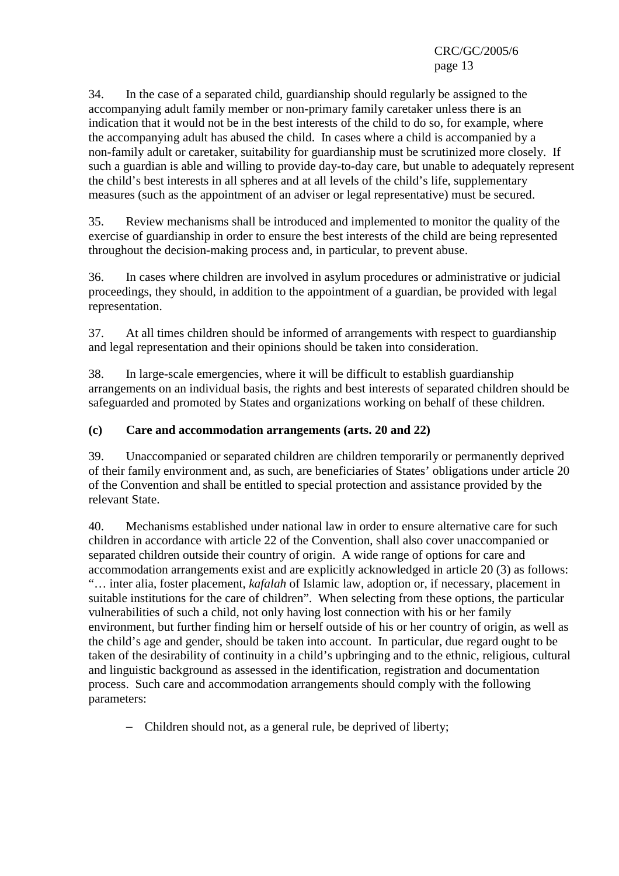34. In the case of a separated child, guardianship should regularly be assigned to the accompanying adult family member or non-primary family caretaker unless there is an indication that it would not be in the best interests of the child to do so, for example, where the accompanying adult has abused the child. In cases where a child is accompanied by a non-family adult or caretaker, suitability for guardianship must be scrutinized more closely. If such a guardian is able and willing to provide day-to-day care, but unable to adequately represent the child's best interests in all spheres and at all levels of the child's life, supplementary measures (such as the appointment of an adviser or legal representative) must be secured.

35. Review mechanisms shall be introduced and implemented to monitor the quality of the exercise of guardianship in order to ensure the best interests of the child are being represented throughout the decision-making process and, in particular, to prevent abuse.

36. In cases where children are involved in asylum procedures or administrative or judicial proceedings, they should, in addition to the appointment of a guardian, be provided with legal representation.

37. At all times children should be informed of arrangements with respect to guardianship and legal representation and their opinions should be taken into consideration.

38. In large-scale emergencies, where it will be difficult to establish guardianship arrangements on an individual basis, the rights and best interests of separated children should be safeguarded and promoted by States and organizations working on behalf of these children.

### **(c) Care and accommodation arrangements (arts. 20 and 22)**

39. Unaccompanied or separated children are children temporarily or permanently deprived of their family environment and, as such, are beneficiaries of States' obligations under article 20 of the Convention and shall be entitled to special protection and assistance provided by the relevant State.

40. Mechanisms established under national law in order to ensure alternative care for such children in accordance with article 22 of the Convention, shall also cover unaccompanied or separated children outside their country of origin. A wide range of options for care and accommodation arrangements exist and are explicitly acknowledged in article 20 (3) as follows: "… inter alia, foster placement, *kafalah* of Islamic law, adoption or, if necessary, placement in suitable institutions for the care of children". When selecting from these options, the particular vulnerabilities of such a child, not only having lost connection with his or her family environment, but further finding him or herself outside of his or her country of origin, as well as the child's age and gender, should be taken into account. In particular, due regard ought to be taken of the desirability of continuity in a child's upbringing and to the ethnic, religious, cultural and linguistic background as assessed in the identification, registration and documentation process. Such care and accommodation arrangements should comply with the following parameters:

− Children should not, as a general rule, be deprived of liberty;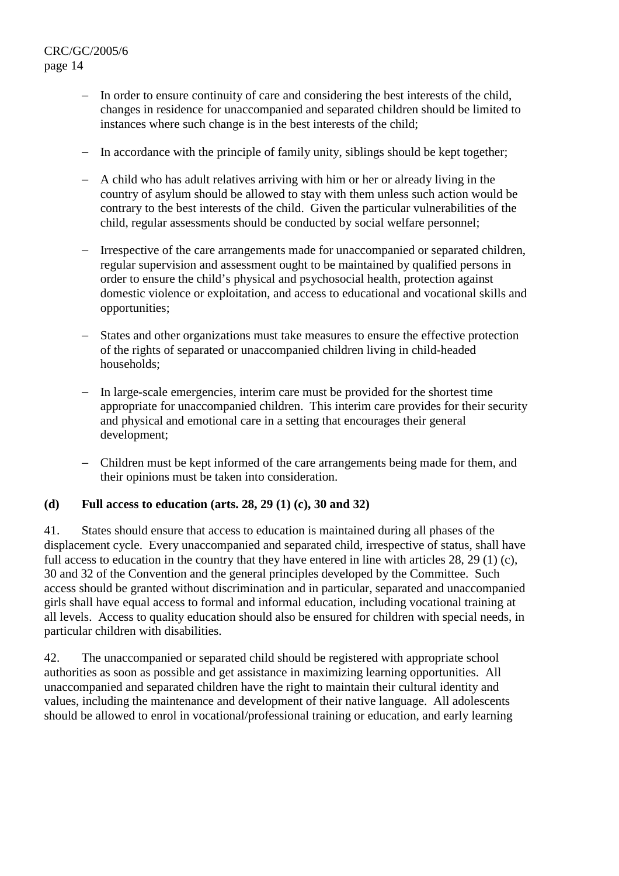- − In order to ensure continuity of care and considering the best interests of the child, changes in residence for unaccompanied and separated children should be limited to instances where such change is in the best interests of the child;
- − In accordance with the principle of family unity, siblings should be kept together;
- − A child who has adult relatives arriving with him or her or already living in the country of asylum should be allowed to stay with them unless such action would be contrary to the best interests of the child. Given the particular vulnerabilities of the child, regular assessments should be conducted by social welfare personnel;
- − Irrespective of the care arrangements made for unaccompanied or separated children, regular supervision and assessment ought to be maintained by qualified persons in order to ensure the child's physical and psychosocial health, protection against domestic violence or exploitation, and access to educational and vocational skills and opportunities;
- States and other organizations must take measures to ensure the effective protection of the rights of separated or unaccompanied children living in child-headed households;
- − In large-scale emergencies, interim care must be provided for the shortest time appropriate for unaccompanied children. This interim care provides for their security and physical and emotional care in a setting that encourages their general development;
- − Children must be kept informed of the care arrangements being made for them, and their opinions must be taken into consideration.

### **(d) Full access to education (arts. 28, 29 (1) (c), 30 and 32)**

41. States should ensure that access to education is maintained during all phases of the displacement cycle. Every unaccompanied and separated child, irrespective of status, shall have full access to education in the country that they have entered in line with articles 28, 29 (1) (c), 30 and 32 of the Convention and the general principles developed by the Committee. Such access should be granted without discrimination and in particular, separated and unaccompanied girls shall have equal access to formal and informal education, including vocational training at all levels. Access to quality education should also be ensured for children with special needs, in particular children with disabilities.

42. The unaccompanied or separated child should be registered with appropriate school authorities as soon as possible and get assistance in maximizing learning opportunities. All unaccompanied and separated children have the right to maintain their cultural identity and values, including the maintenance and development of their native language. All adolescents should be allowed to enrol in vocational/professional training or education, and early learning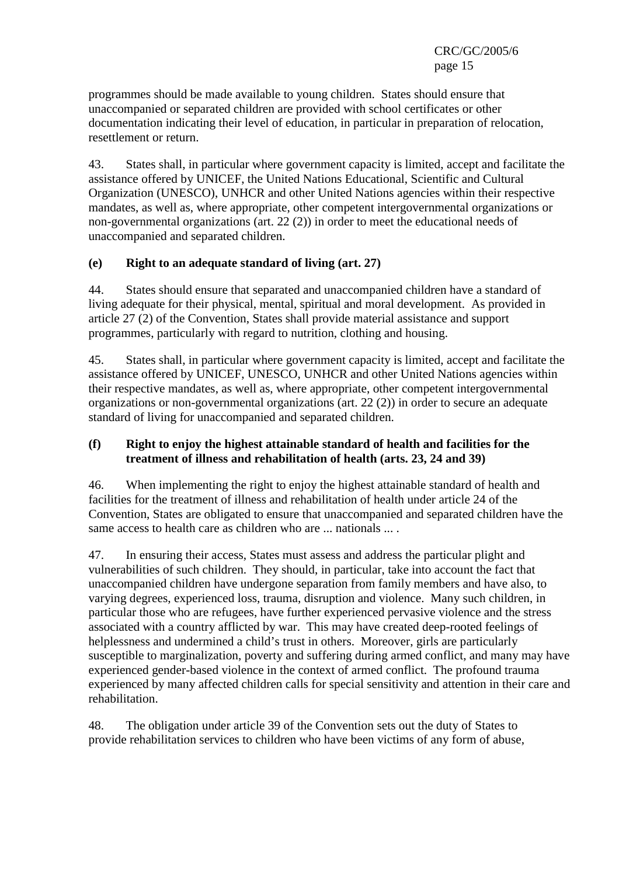programmes should be made available to young children. States should ensure that unaccompanied or separated children are provided with school certificates or other documentation indicating their level of education, in particular in preparation of relocation, resettlement or return.

43. States shall, in particular where government capacity is limited, accept and facilitate the assistance offered by UNICEF, the United Nations Educational, Scientific and Cultural Organization (UNESCO), UNHCR and other United Nations agencies within their respective mandates, as well as, where appropriate, other competent intergovernmental organizations or non-governmental organizations (art. 22 (2)) in order to meet the educational needs of unaccompanied and separated children.

### **(e) Right to an adequate standard of living (art. 27)**

44. States should ensure that separated and unaccompanied children have a standard of living adequate for their physical, mental, spiritual and moral development. As provided in article 27 (2) of the Convention, States shall provide material assistance and support programmes, particularly with regard to nutrition, clothing and housing.

45. States shall, in particular where government capacity is limited, accept and facilitate the assistance offered by UNICEF, UNESCO, UNHCR and other United Nations agencies within their respective mandates, as well as, where appropriate, other competent intergovernmental organizations or non-governmental organizations (art. 22 (2)) in order to secure an adequate standard of living for unaccompanied and separated children.

### **(f) Right to enjoy the highest attainable standard of health and facilities for the treatment of illness and rehabilitation of health (arts. 23, 24 and 39)**

46. When implementing the right to enjoy the highest attainable standard of health and facilities for the treatment of illness and rehabilitation of health under article 24 of the Convention, States are obligated to ensure that unaccompanied and separated children have the same access to health care as children who are ... nationals ... .

47. In ensuring their access, States must assess and address the particular plight and vulnerabilities of such children. They should, in particular, take into account the fact that unaccompanied children have undergone separation from family members and have also, to varying degrees, experienced loss, trauma, disruption and violence. Many such children, in particular those who are refugees, have further experienced pervasive violence and the stress associated with a country afflicted by war. This may have created deep-rooted feelings of helplessness and undermined a child's trust in others. Moreover, girls are particularly susceptible to marginalization, poverty and suffering during armed conflict, and many may have experienced gender-based violence in the context of armed conflict. The profound trauma experienced by many affected children calls for special sensitivity and attention in their care and rehabilitation.

48. The obligation under article 39 of the Convention sets out the duty of States to provide rehabilitation services to children who have been victims of any form of abuse,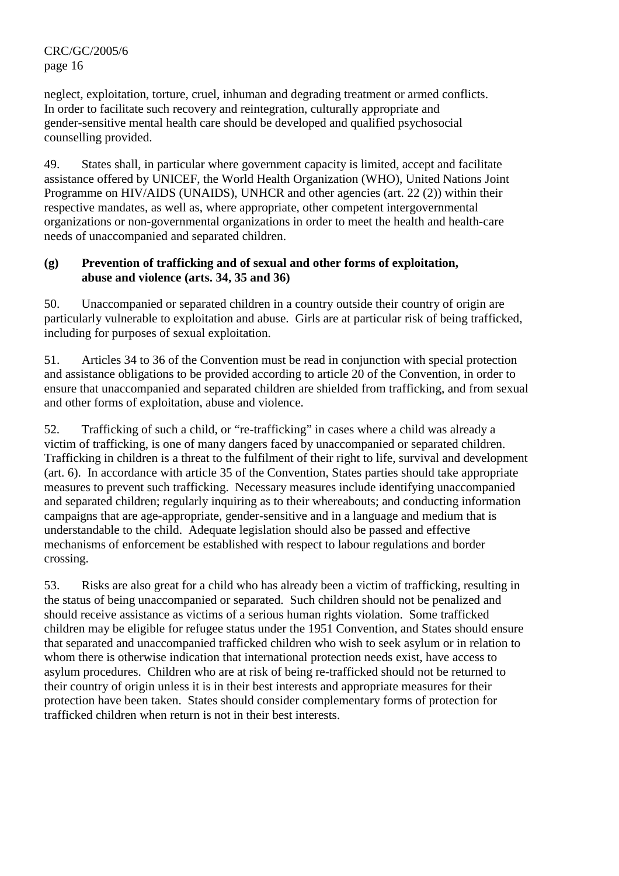neglect, exploitation, torture, cruel, inhuman and degrading treatment or armed conflicts. In order to facilitate such recovery and reintegration, culturally appropriate and gender-sensitive mental health care should be developed and qualified psychosocial counselling provided.

49. States shall, in particular where government capacity is limited, accept and facilitate assistance offered by UNICEF, the World Health Organization (WHO), United Nations Joint Programme on HIV/AIDS (UNAIDS), UNHCR and other agencies (art. 22 (2)) within their respective mandates, as well as, where appropriate, other competent intergovernmental organizations or non-governmental organizations in order to meet the health and health-care needs of unaccompanied and separated children.

### **(g) Prevention of trafficking and of sexual and other forms of exploitation, abuse and violence (arts. 34, 35 and 36)**

50. Unaccompanied or separated children in a country outside their country of origin are particularly vulnerable to exploitation and abuse. Girls are at particular risk of being trafficked, including for purposes of sexual exploitation.

51. Articles 34 to 36 of the Convention must be read in conjunction with special protection and assistance obligations to be provided according to article 20 of the Convention, in order to ensure that unaccompanied and separated children are shielded from trafficking, and from sexual and other forms of exploitation, abuse and violence.

52. Trafficking of such a child, or "re-trafficking" in cases where a child was already a victim of trafficking, is one of many dangers faced by unaccompanied or separated children. Trafficking in children is a threat to the fulfilment of their right to life, survival and development (art. 6). In accordance with article 35 of the Convention, States parties should take appropriate measures to prevent such trafficking. Necessary measures include identifying unaccompanied and separated children; regularly inquiring as to their whereabouts; and conducting information campaigns that are age-appropriate, gender-sensitive and in a language and medium that is understandable to the child. Adequate legislation should also be passed and effective mechanisms of enforcement be established with respect to labour regulations and border crossing.

53. Risks are also great for a child who has already been a victim of trafficking, resulting in the status of being unaccompanied or separated. Such children should not be penalized and should receive assistance as victims of a serious human rights violation. Some trafficked children may be eligible for refugee status under the 1951 Convention, and States should ensure that separated and unaccompanied trafficked children who wish to seek asylum or in relation to whom there is otherwise indication that international protection needs exist, have access to asylum procedures. Children who are at risk of being re-trafficked should not be returned to their country of origin unless it is in their best interests and appropriate measures for their protection have been taken. States should consider complementary forms of protection for trafficked children when return is not in their best interests.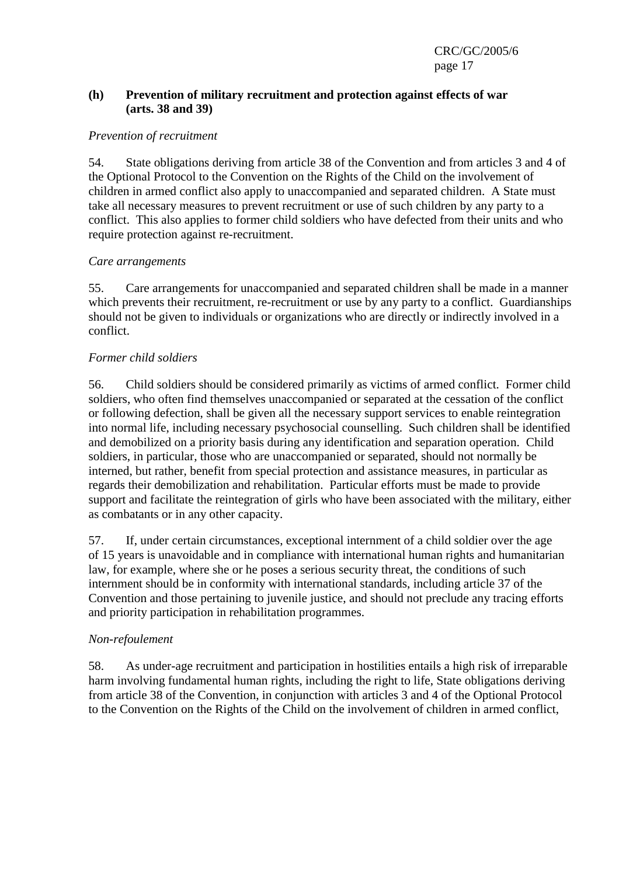### **(h) Prevention of military recruitment and protection against effects of war (arts. 38 and 39)**

### *Prevention of recruitment*

54. State obligations deriving from article 38 of the Convention and from articles 3 and 4 of the Optional Protocol to the Convention on the Rights of the Child on the involvement of children in armed conflict also apply to unaccompanied and separated children. A State must take all necessary measures to prevent recruitment or use of such children by any party to a conflict. This also applies to former child soldiers who have defected from their units and who require protection against re-recruitment.

#### *Care arrangements*

55. Care arrangements for unaccompanied and separated children shall be made in a manner which prevents their recruitment, re-recruitment or use by any party to a conflict. Guardianships should not be given to individuals or organizations who are directly or indirectly involved in a conflict.

### *Former child soldiers*

56. Child soldiers should be considered primarily as victims of armed conflict. Former child soldiers, who often find themselves unaccompanied or separated at the cessation of the conflict or following defection, shall be given all the necessary support services to enable reintegration into normal life, including necessary psychosocial counselling. Such children shall be identified and demobilized on a priority basis during any identification and separation operation. Child soldiers, in particular, those who are unaccompanied or separated, should not normally be interned, but rather, benefit from special protection and assistance measures, in particular as regards their demobilization and rehabilitation. Particular efforts must be made to provide support and facilitate the reintegration of girls who have been associated with the military, either as combatants or in any other capacity.

57. If, under certain circumstances, exceptional internment of a child soldier over the age of 15 years is unavoidable and in compliance with international human rights and humanitarian law, for example, where she or he poses a serious security threat, the conditions of such internment should be in conformity with international standards, including article 37 of the Convention and those pertaining to juvenile justice, and should not preclude any tracing efforts and priority participation in rehabilitation programmes.

#### *Non-refoulement*

58. As under-age recruitment and participation in hostilities entails a high risk of irreparable harm involving fundamental human rights, including the right to life, State obligations deriving from article 38 of the Convention, in conjunction with articles 3 and 4 of the Optional Protocol to the Convention on the Rights of the Child on the involvement of children in armed conflict,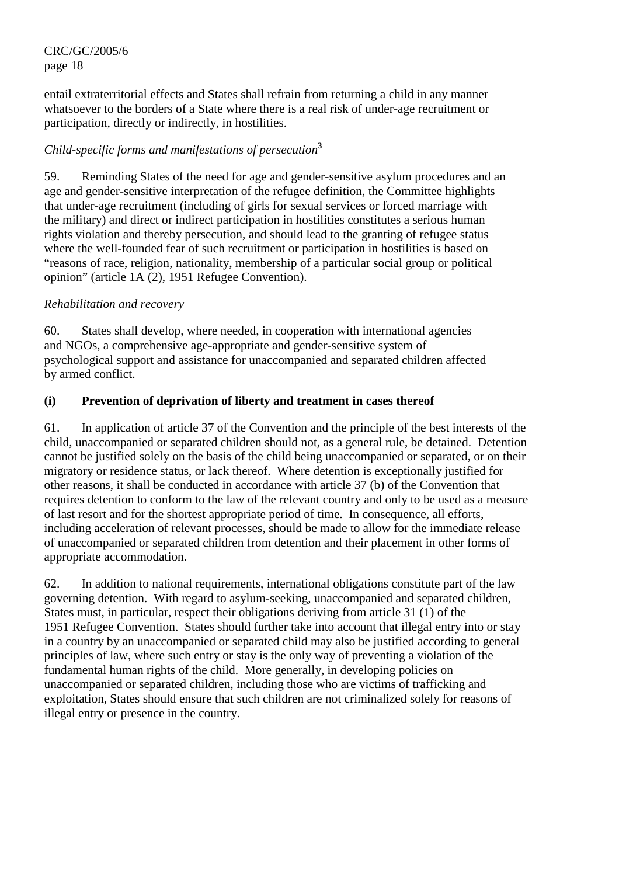entail extraterritorial effects and States shall refrain from returning a child in any manner whatsoever to the borders of a State where there is a real risk of under-age recruitment or participation, directly or indirectly, in hostilities.

### *Child-specific forms and manifestations of persecution***<sup>3</sup>**

59. Reminding States of the need for age and gender-sensitive asylum procedures and an age and gender-sensitive interpretation of the refugee definition, the Committee highlights that under-age recruitment (including of girls for sexual services or forced marriage with the military) and direct or indirect participation in hostilities constitutes a serious human rights violation and thereby persecution, and should lead to the granting of refugee status where the well-founded fear of such recruitment or participation in hostilities is based on "reasons of race, religion, nationality, membership of a particular social group or political opinion" (article 1A (2), 1951 Refugee Convention).

### *Rehabilitation and recovery*

60. States shall develop, where needed, in cooperation with international agencies and NGOs, a comprehensive age-appropriate and gender-sensitive system of psychological support and assistance for unaccompanied and separated children affected by armed conflict.

### **(i) Prevention of deprivation of liberty and treatment in cases thereof**

61. In application of article 37 of the Convention and the principle of the best interests of the child, unaccompanied or separated children should not, as a general rule, be detained. Detention cannot be justified solely on the basis of the child being unaccompanied or separated, or on their migratory or residence status, or lack thereof. Where detention is exceptionally justified for other reasons, it shall be conducted in accordance with article 37 (b) of the Convention that requires detention to conform to the law of the relevant country and only to be used as a measure of last resort and for the shortest appropriate period of time. In consequence, all efforts, including acceleration of relevant processes, should be made to allow for the immediate release of unaccompanied or separated children from detention and their placement in other forms of appropriate accommodation.

62. In addition to national requirements, international obligations constitute part of the law governing detention. With regard to asylum-seeking, unaccompanied and separated children, States must, in particular, respect their obligations deriving from article 31 (1) of the 1951 Refugee Convention. States should further take into account that illegal entry into or stay in a country by an unaccompanied or separated child may also be justified according to general principles of law, where such entry or stay is the only way of preventing a violation of the fundamental human rights of the child. More generally, in developing policies on unaccompanied or separated children, including those who are victims of trafficking and exploitation, States should ensure that such children are not criminalized solely for reasons of illegal entry or presence in the country.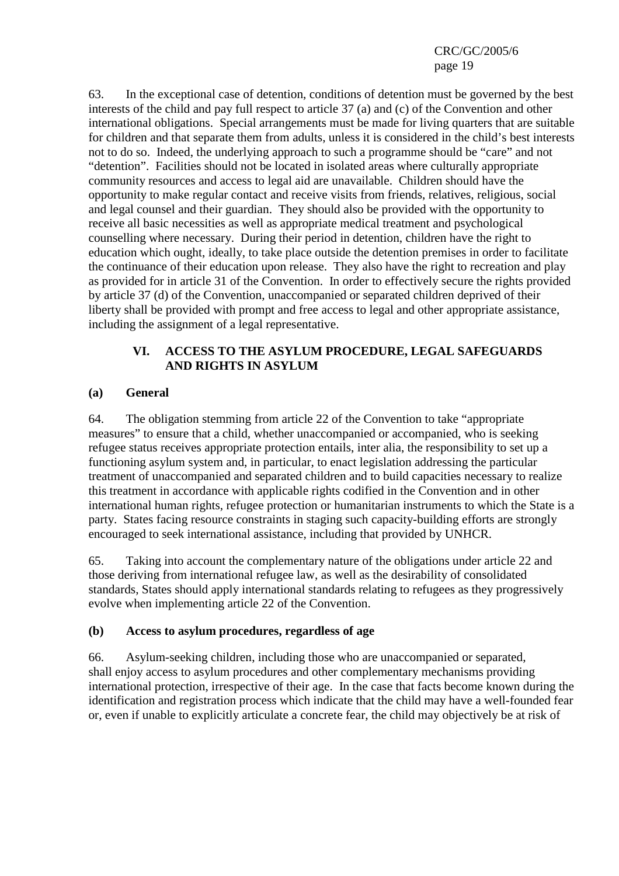63. In the exceptional case of detention, conditions of detention must be governed by the best interests of the child and pay full respect to article 37 (a) and (c) of the Convention and other international obligations. Special arrangements must be made for living quarters that are suitable for children and that separate them from adults, unless it is considered in the child's best interests not to do so. Indeed, the underlying approach to such a programme should be "care" and not "detention". Facilities should not be located in isolated areas where culturally appropriate community resources and access to legal aid are unavailable. Children should have the opportunity to make regular contact and receive visits from friends, relatives, religious, social and legal counsel and their guardian. They should also be provided with the opportunity to receive all basic necessities as well as appropriate medical treatment and psychological counselling where necessary. During their period in detention, children have the right to education which ought, ideally, to take place outside the detention premises in order to facilitate the continuance of their education upon release. They also have the right to recreation and play as provided for in article 31 of the Convention. In order to effectively secure the rights provided by article 37 (d) of the Convention, unaccompanied or separated children deprived of their liberty shall be provided with prompt and free access to legal and other appropriate assistance, including the assignment of a legal representative.

### **VI. ACCESS TO THE ASYLUM PROCEDURE, LEGAL SAFEGUARDS AND RIGHTS IN ASYLUM**

### **(a) General**

64. The obligation stemming from article 22 of the Convention to take "appropriate measures" to ensure that a child, whether unaccompanied or accompanied, who is seeking refugee status receives appropriate protection entails, inter alia, the responsibility to set up a functioning asylum system and, in particular, to enact legislation addressing the particular treatment of unaccompanied and separated children and to build capacities necessary to realize this treatment in accordance with applicable rights codified in the Convention and in other international human rights, refugee protection or humanitarian instruments to which the State is a party. States facing resource constraints in staging such capacity-building efforts are strongly encouraged to seek international assistance, including that provided by UNHCR.

65. Taking into account the complementary nature of the obligations under article 22 and those deriving from international refugee law, as well as the desirability of consolidated standards, States should apply international standards relating to refugees as they progressively evolve when implementing article 22 of the Convention.

#### **(b) Access to asylum procedures, regardless of age**

66. Asylum-seeking children, including those who are unaccompanied or separated, shall enjoy access to asylum procedures and other complementary mechanisms providing international protection, irrespective of their age. In the case that facts become known during the identification and registration process which indicate that the child may have a well-founded fear or, even if unable to explicitly articulate a concrete fear, the child may objectively be at risk of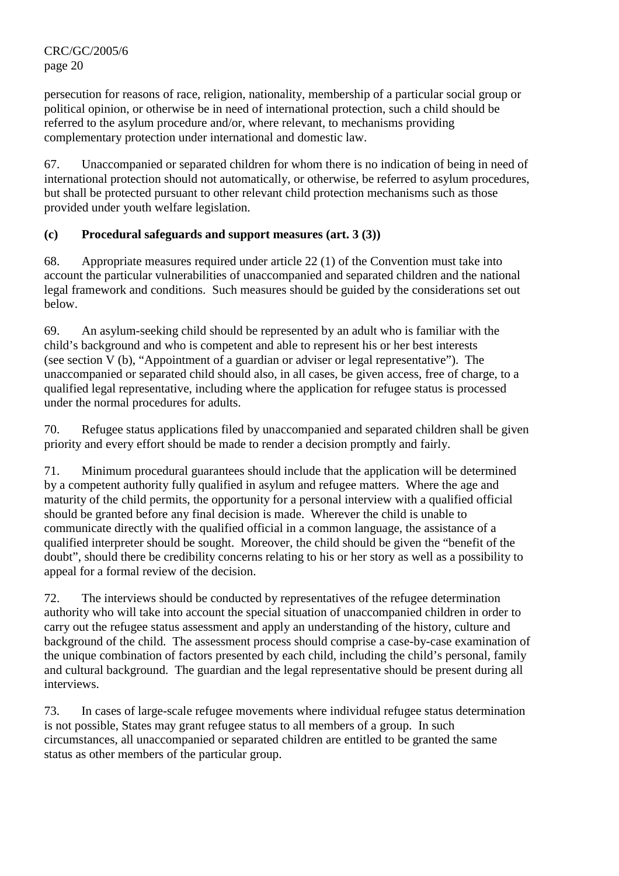persecution for reasons of race, religion, nationality, membership of a particular social group or political opinion, or otherwise be in need of international protection, such a child should be referred to the asylum procedure and/or, where relevant, to mechanisms providing complementary protection under international and domestic law.

67. Unaccompanied or separated children for whom there is no indication of being in need of international protection should not automatically, or otherwise, be referred to asylum procedures, but shall be protected pursuant to other relevant child protection mechanisms such as those provided under youth welfare legislation.

### **(c) Procedural safeguards and support measures (art. 3 (3))**

68. Appropriate measures required under article 22 (1) of the Convention must take into account the particular vulnerabilities of unaccompanied and separated children and the national legal framework and conditions. Such measures should be guided by the considerations set out below.

69. An asylum-seeking child should be represented by an adult who is familiar with the child's background and who is competent and able to represent his or her best interests (see section V (b), "Appointment of a guardian or adviser or legal representative"). The unaccompanied or separated child should also, in all cases, be given access, free of charge, to a qualified legal representative, including where the application for refugee status is processed under the normal procedures for adults.

70. Refugee status applications filed by unaccompanied and separated children shall be given priority and every effort should be made to render a decision promptly and fairly.

71. Minimum procedural guarantees should include that the application will be determined by a competent authority fully qualified in asylum and refugee matters. Where the age and maturity of the child permits, the opportunity for a personal interview with a qualified official should be granted before any final decision is made. Wherever the child is unable to communicate directly with the qualified official in a common language, the assistance of a qualified interpreter should be sought. Moreover, the child should be given the "benefit of the doubt", should there be credibility concerns relating to his or her story as well as a possibility to appeal for a formal review of the decision.

72. The interviews should be conducted by representatives of the refugee determination authority who will take into account the special situation of unaccompanied children in order to carry out the refugee status assessment and apply an understanding of the history, culture and background of the child. The assessment process should comprise a case-by-case examination of the unique combination of factors presented by each child, including the child's personal, family and cultural background. The guardian and the legal representative should be present during all interviews.

73. In cases of large-scale refugee movements where individual refugee status determination is not possible, States may grant refugee status to all members of a group. In such circumstances, all unaccompanied or separated children are entitled to be granted the same status as other members of the particular group.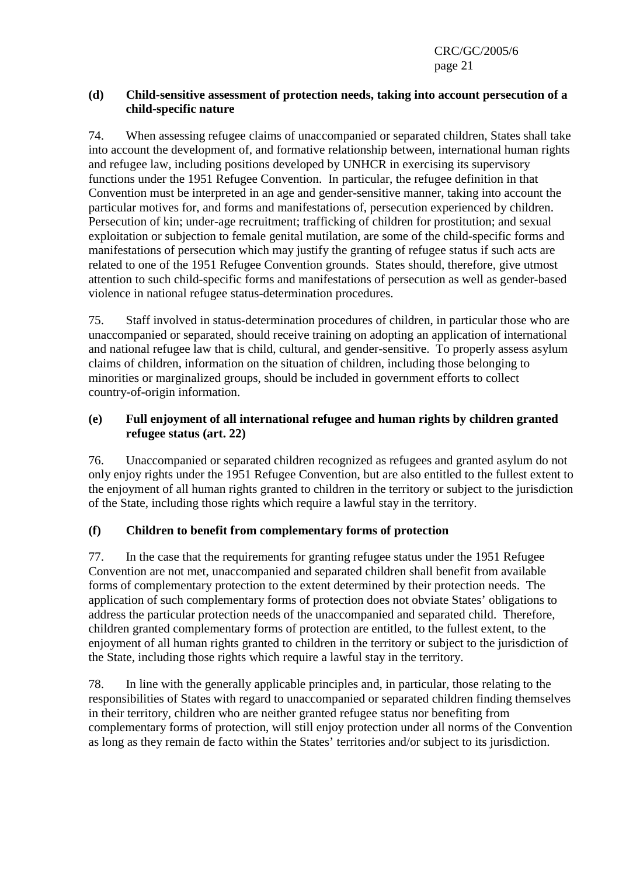#### **(d) Child-sensitive assessment of protection needs, taking into account persecution of a child-specific nature**

74. When assessing refugee claims of unaccompanied or separated children, States shall take into account the development of, and formative relationship between, international human rights and refugee law, including positions developed by UNHCR in exercising its supervisory functions under the 1951 Refugee Convention. In particular, the refugee definition in that Convention must be interpreted in an age and gender-sensitive manner, taking into account the particular motives for, and forms and manifestations of, persecution experienced by children. Persecution of kin; under-age recruitment; trafficking of children for prostitution; and sexual exploitation or subjection to female genital mutilation, are some of the child-specific forms and manifestations of persecution which may justify the granting of refugee status if such acts are related to one of the 1951 Refugee Convention grounds. States should, therefore, give utmost attention to such child-specific forms and manifestations of persecution as well as gender-based violence in national refugee status-determination procedures.

75. Staff involved in status-determination procedures of children, in particular those who are unaccompanied or separated, should receive training on adopting an application of international and national refugee law that is child, cultural, and gender-sensitive. To properly assess asylum claims of children, information on the situation of children, including those belonging to minorities or marginalized groups, should be included in government efforts to collect country-of-origin information.

### **(e) Full enjoyment of all international refugee and human rights by children granted refugee status (art. 22)**

76. Unaccompanied or separated children recognized as refugees and granted asylum do not only enjoy rights under the 1951 Refugee Convention, but are also entitled to the fullest extent to the enjoyment of all human rights granted to children in the territory or subject to the jurisdiction of the State, including those rights which require a lawful stay in the territory.

### **(f) Children to benefit from complementary forms of protection**

77. In the case that the requirements for granting refugee status under the 1951 Refugee Convention are not met, unaccompanied and separated children shall benefit from available forms of complementary protection to the extent determined by their protection needs. The application of such complementary forms of protection does not obviate States' obligations to address the particular protection needs of the unaccompanied and separated child. Therefore, children granted complementary forms of protection are entitled, to the fullest extent, to the enjoyment of all human rights granted to children in the territory or subject to the jurisdiction of the State, including those rights which require a lawful stay in the territory.

78. In line with the generally applicable principles and, in particular, those relating to the responsibilities of States with regard to unaccompanied or separated children finding themselves in their territory, children who are neither granted refugee status nor benefiting from complementary forms of protection, will still enjoy protection under all norms of the Convention as long as they remain de facto within the States' territories and/or subject to its jurisdiction.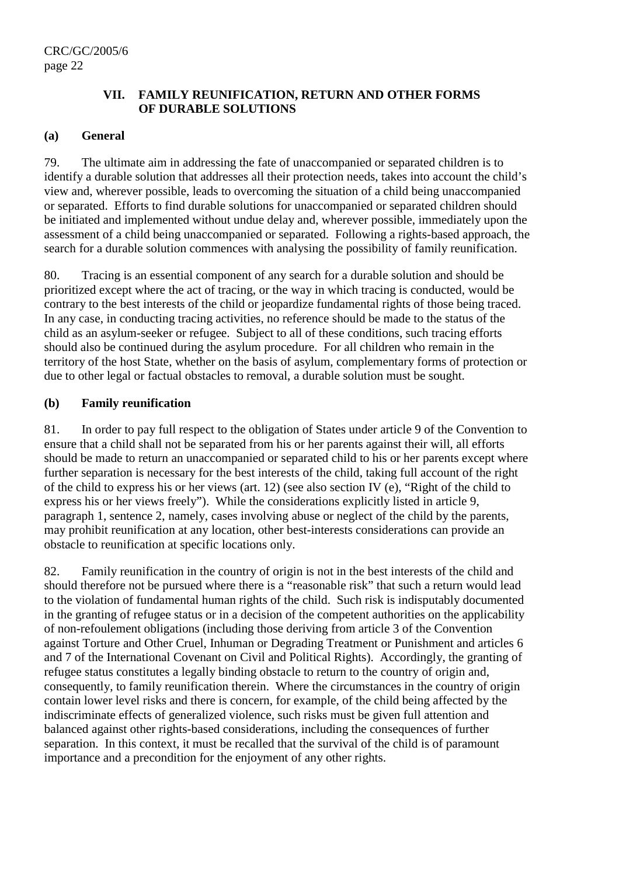#### **VII. FAMILY REUNIFICATION, RETURN AND OTHER FORMS OF DURABLE SOLUTIONS**

#### **(a) General**

79. The ultimate aim in addressing the fate of unaccompanied or separated children is to identify a durable solution that addresses all their protection needs, takes into account the child's view and, wherever possible, leads to overcoming the situation of a child being unaccompanied or separated. Efforts to find durable solutions for unaccompanied or separated children should be initiated and implemented without undue delay and, wherever possible, immediately upon the assessment of a child being unaccompanied or separated. Following a rights-based approach, the search for a durable solution commences with analysing the possibility of family reunification.

80. Tracing is an essential component of any search for a durable solution and should be prioritized except where the act of tracing, or the way in which tracing is conducted, would be contrary to the best interests of the child or jeopardize fundamental rights of those being traced. In any case, in conducting tracing activities, no reference should be made to the status of the child as an asylum-seeker or refugee. Subject to all of these conditions, such tracing efforts should also be continued during the asylum procedure. For all children who remain in the territory of the host State, whether on the basis of asylum, complementary forms of protection or due to other legal or factual obstacles to removal, a durable solution must be sought.

### **(b) Family reunification**

81. In order to pay full respect to the obligation of States under article 9 of the Convention to ensure that a child shall not be separated from his or her parents against their will, all efforts should be made to return an unaccompanied or separated child to his or her parents except where further separation is necessary for the best interests of the child, taking full account of the right of the child to express his or her views (art. 12) (see also section IV (e), "Right of the child to express his or her views freely"). While the considerations explicitly listed in article 9, paragraph 1, sentence 2, namely, cases involving abuse or neglect of the child by the parents, may prohibit reunification at any location, other best-interests considerations can provide an obstacle to reunification at specific locations only.

82. Family reunification in the country of origin is not in the best interests of the child and should therefore not be pursued where there is a "reasonable risk" that such a return would lead to the violation of fundamental human rights of the child. Such risk is indisputably documented in the granting of refugee status or in a decision of the competent authorities on the applicability of non-refoulement obligations (including those deriving from article 3 of the Convention against Torture and Other Cruel, Inhuman or Degrading Treatment or Punishment and articles 6 and 7 of the International Covenant on Civil and Political Rights). Accordingly, the granting of refugee status constitutes a legally binding obstacle to return to the country of origin and, consequently, to family reunification therein. Where the circumstances in the country of origin contain lower level risks and there is concern, for example, of the child being affected by the indiscriminate effects of generalized violence, such risks must be given full attention and balanced against other rights-based considerations, including the consequences of further separation. In this context, it must be recalled that the survival of the child is of paramount importance and a precondition for the enjoyment of any other rights.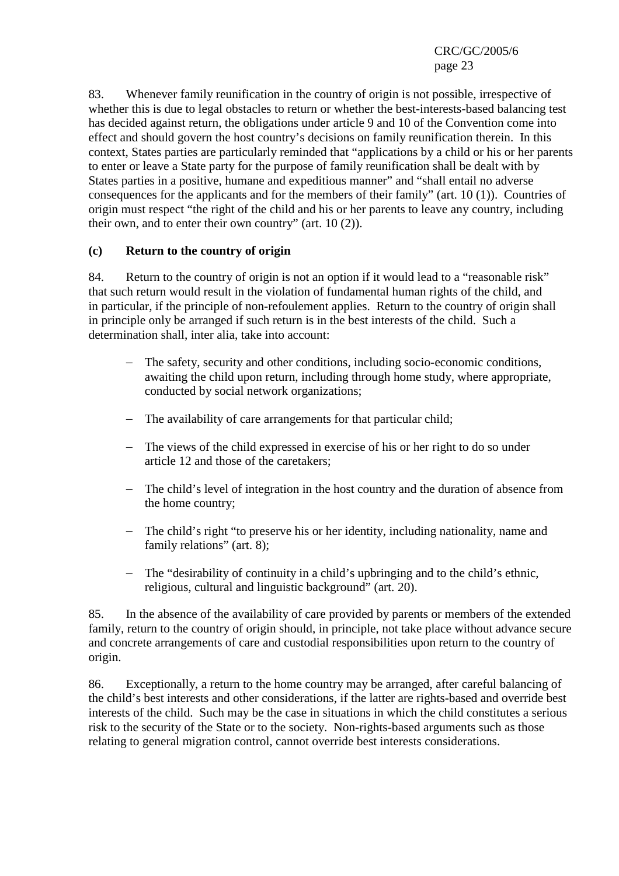83. Whenever family reunification in the country of origin is not possible, irrespective of whether this is due to legal obstacles to return or whether the best-interests-based balancing test has decided against return, the obligations under article 9 and 10 of the Convention come into effect and should govern the host country's decisions on family reunification therein. In this context, States parties are particularly reminded that "applications by a child or his or her parents to enter or leave a State party for the purpose of family reunification shall be dealt with by States parties in a positive, humane and expeditious manner" and "shall entail no adverse consequences for the applicants and for the members of their family" (art. 10 (1)). Countries of origin must respect "the right of the child and his or her parents to leave any country, including their own, and to enter their own country" (art. 10 (2)).

### **(c) Return to the country of origin**

84. Return to the country of origin is not an option if it would lead to a "reasonable risk" that such return would result in the violation of fundamental human rights of the child, and in particular, if the principle of non-refoulement applies. Return to the country of origin shall in principle only be arranged if such return is in the best interests of the child. Such a determination shall, inter alia, take into account:

- − The safety, security and other conditions, including socio-economic conditions, awaiting the child upon return, including through home study, where appropriate, conducted by social network organizations;
- − The availability of care arrangements for that particular child;
- − The views of the child expressed in exercise of his or her right to do so under article 12 and those of the caretakers;
- − The child's level of integration in the host country and the duration of absence from the home country;
- − The child's right "to preserve his or her identity, including nationality, name and family relations" (art. 8);
- − The "desirability of continuity in a child's upbringing and to the child's ethnic, religious, cultural and linguistic background" (art. 20).

85. In the absence of the availability of care provided by parents or members of the extended family, return to the country of origin should, in principle, not take place without advance secure and concrete arrangements of care and custodial responsibilities upon return to the country of origin.

86. Exceptionally, a return to the home country may be arranged, after careful balancing of the child's best interests and other considerations, if the latter are rights-based and override best interests of the child. Such may be the case in situations in which the child constitutes a serious risk to the security of the State or to the society. Non-rights-based arguments such as those relating to general migration control, cannot override best interests considerations.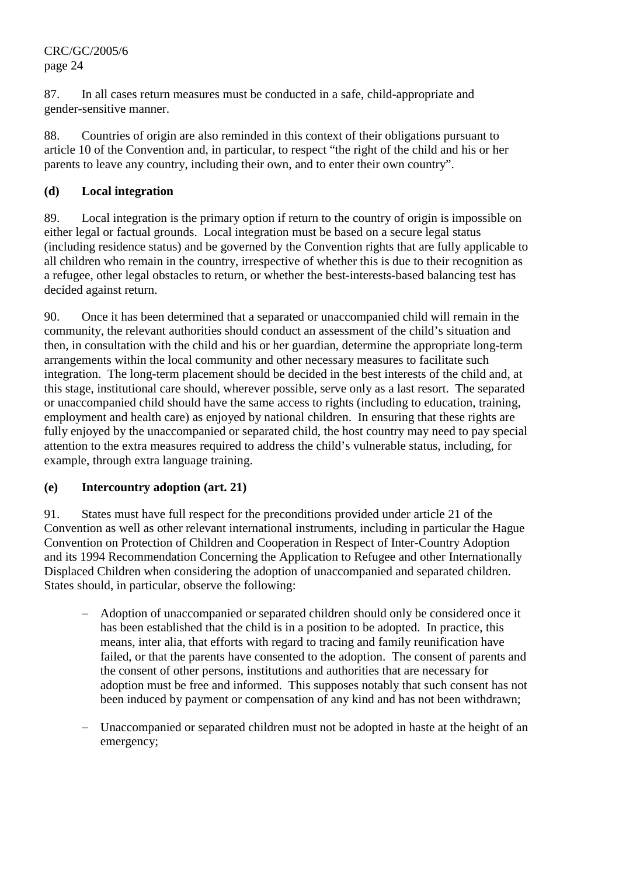87. In all cases return measures must be conducted in a safe, child-appropriate and gender-sensitive manner.

88. Countries of origin are also reminded in this context of their obligations pursuant to article 10 of the Convention and, in particular, to respect "the right of the child and his or her parents to leave any country, including their own, and to enter their own country".

### **(d) Local integration**

89. Local integration is the primary option if return to the country of origin is impossible on either legal or factual grounds. Local integration must be based on a secure legal status (including residence status) and be governed by the Convention rights that are fully applicable to all children who remain in the country, irrespective of whether this is due to their recognition as a refugee, other legal obstacles to return, or whether the best-interests-based balancing test has decided against return.

90. Once it has been determined that a separated or unaccompanied child will remain in the community, the relevant authorities should conduct an assessment of the child's situation and then, in consultation with the child and his or her guardian, determine the appropriate long-term arrangements within the local community and other necessary measures to facilitate such integration. The long-term placement should be decided in the best interests of the child and, at this stage, institutional care should, wherever possible, serve only as a last resort. The separated or unaccompanied child should have the same access to rights (including to education, training, employment and health care) as enjoyed by national children. In ensuring that these rights are fully enjoyed by the unaccompanied or separated child, the host country may need to pay special attention to the extra measures required to address the child's vulnerable status, including, for example, through extra language training.

### **(e) Intercountry adoption (art. 21)**

91. States must have full respect for the preconditions provided under article 21 of the Convention as well as other relevant international instruments, including in particular the Hague Convention on Protection of Children and Cooperation in Respect of Inter-Country Adoption and its 1994 Recommendation Concerning the Application to Refugee and other Internationally Displaced Children when considering the adoption of unaccompanied and separated children. States should, in particular, observe the following:

- − Adoption of unaccompanied or separated children should only be considered once it has been established that the child is in a position to be adopted. In practice, this means, inter alia, that efforts with regard to tracing and family reunification have failed, or that the parents have consented to the adoption. The consent of parents and the consent of other persons, institutions and authorities that are necessary for adoption must be free and informed. This supposes notably that such consent has not been induced by payment or compensation of any kind and has not been withdrawn;
- − Unaccompanied or separated children must not be adopted in haste at the height of an emergency;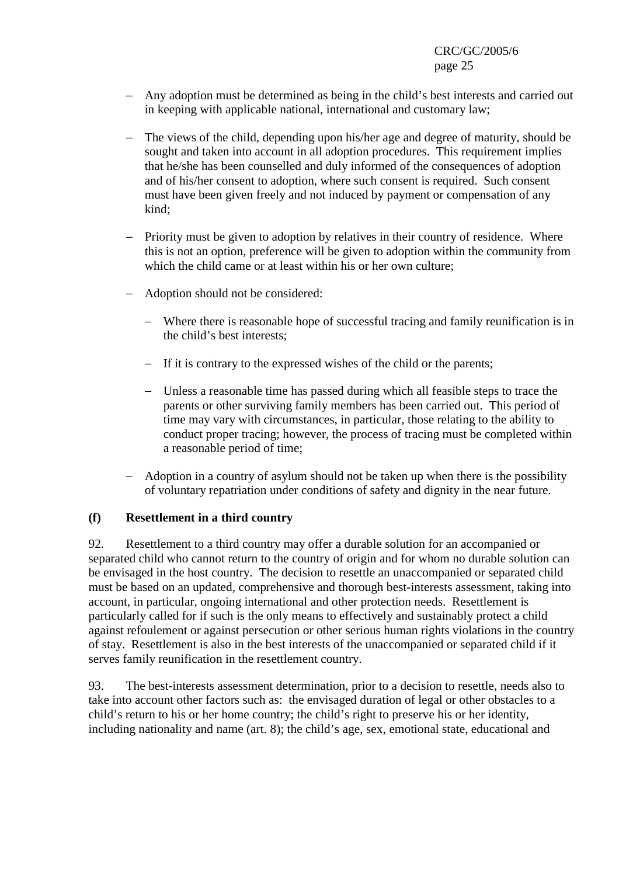- − Any adoption must be determined as being in the child's best interests and carried out in keeping with applicable national, international and customary law;
- − The views of the child, depending upon his/her age and degree of maturity, should be sought and taken into account in all adoption procedures. This requirement implies that he/she has been counselled and duly informed of the consequences of adoption and of his/her consent to adoption, where such consent is required. Such consent must have been given freely and not induced by payment or compensation of any kind;
- − Priority must be given to adoption by relatives in their country of residence. Where this is not an option, preference will be given to adoption within the community from which the child came or at least within his or her own culture;
- − Adoption should not be considered:
	- − Where there is reasonable hope of successful tracing and family reunification is in the child's best interests;
	- − If it is contrary to the expressed wishes of the child or the parents;
	- − Unless a reasonable time has passed during which all feasible steps to trace the parents or other surviving family members has been carried out. This period of time may vary with circumstances, in particular, those relating to the ability to conduct proper tracing; however, the process of tracing must be completed within a reasonable period of time;
- − Adoption in a country of asylum should not be taken up when there is the possibility of voluntary repatriation under conditions of safety and dignity in the near future.

### **(f) Resettlement in a third country**

92. Resettlement to a third country may offer a durable solution for an accompanied or separated child who cannot return to the country of origin and for whom no durable solution can be envisaged in the host country. The decision to resettle an unaccompanied or separated child must be based on an updated, comprehensive and thorough best-interests assessment, taking into account, in particular, ongoing international and other protection needs. Resettlement is particularly called for if such is the only means to effectively and sustainably protect a child against refoulement or against persecution or other serious human rights violations in the country of stay. Resettlement is also in the best interests of the unaccompanied or separated child if it serves family reunification in the resettlement country.

93. The best-interests assessment determination, prior to a decision to resettle, needs also to take into account other factors such as: the envisaged duration of legal or other obstacles to a child's return to his or her home country; the child's right to preserve his or her identity, including nationality and name (art. 8); the child's age, sex, emotional state, educational and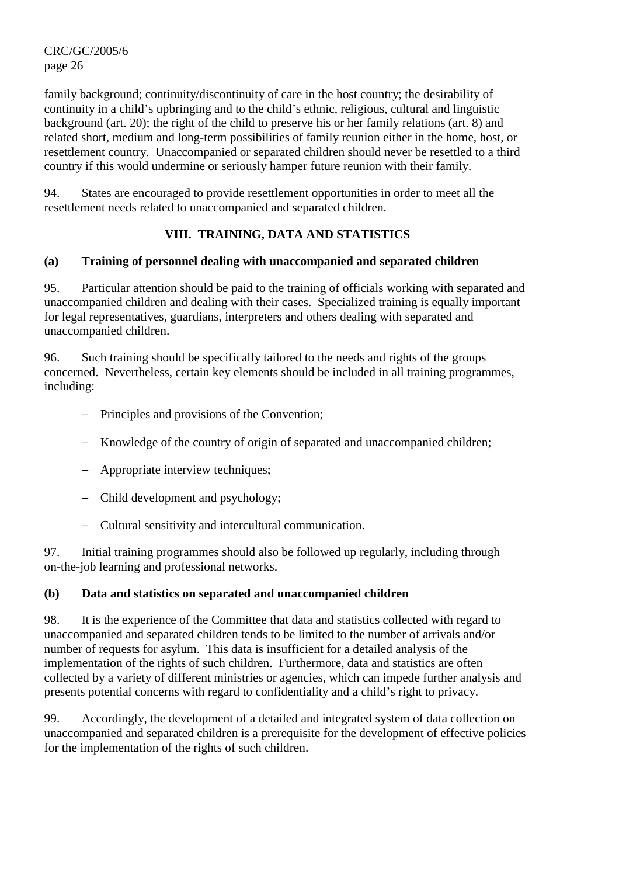family background; continuity/discontinuity of care in the host country; the desirability of continuity in a child's upbringing and to the child's ethnic, religious, cultural and linguistic background (art. 20); the right of the child to preserve his or her family relations (art. 8) and related short, medium and long-term possibilities of family reunion either in the home, host, or resettlement country. Unaccompanied or separated children should never be resettled to a third country if this would undermine or seriously hamper future reunion with their family.

94. States are encouraged to provide resettlement opportunities in order to meet all the resettlement needs related to unaccompanied and separated children.

### **VIII. TRAINING, DATA AND STATISTICS**

### **(a) Training of personnel dealing with unaccompanied and separated children**

95. Particular attention should be paid to the training of officials working with separated and unaccompanied children and dealing with their cases. Specialized training is equally important for legal representatives, guardians, interpreters and others dealing with separated and unaccompanied children.

96. Such training should be specifically tailored to the needs and rights of the groups concerned. Nevertheless, certain key elements should be included in all training programmes, including:

- − Principles and provisions of the Convention;
- Knowledge of the country of origin of separated and unaccompanied children;
- − Appropriate interview techniques;
- − Child development and psychology;
- − Cultural sensitivity and intercultural communication.

97. Initial training programmes should also be followed up regularly, including through on-the-job learning and professional networks.

### **(b) Data and statistics on separated and unaccompanied children**

98. It is the experience of the Committee that data and statistics collected with regard to unaccompanied and separated children tends to be limited to the number of arrivals and/or number of requests for asylum. This data is insufficient for a detailed analysis of the implementation of the rights of such children. Furthermore, data and statistics are often collected by a variety of different ministries or agencies, which can impede further analysis and presents potential concerns with regard to confidentiality and a child's right to privacy.

99. Accordingly, the development of a detailed and integrated system of data collection on unaccompanied and separated children is a prerequisite for the development of effective policies for the implementation of the rights of such children.